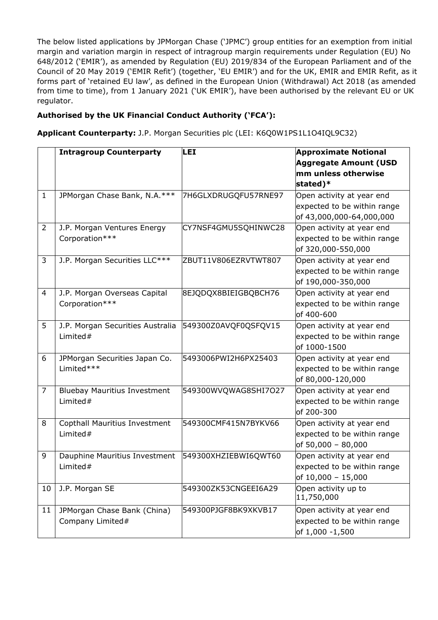The below listed applications by JPMorgan Chase ('JPMC') group entities for an exemption from initial margin and variation margin in respect of intragroup margin requirements under Regulation (EU) No 648/2012 ('EMIR'), as amended by Regulation (EU) 2019/834 of the European Parliament and of the Council of 20 May 2019 ('EMIR Refit') (together, 'EU EMIR') and for the UK, EMIR and EMIR Refit, as it forms part of 'retained EU law', as defined in the European Union (Withdrawal) Act 2018 (as amended from time to time), from 1 January 2021 ('UK EMIR'), have been authorised by the relevant EU or UK regulator.

## **Authorised by the UK Financial Conduct Authority ('FCA'):**

**Applicant Counterparty:** J.P. Morgan Securities plc (LEI: K6Q0W1PS1L1O4IQL9C32)

|                | <b>Intragroup Counterparty</b>                  | LEI                  | <b>Approximate Notional</b><br><b>Aggregate Amount (USD</b><br>mm unless otherwise<br>stated)* |
|----------------|-------------------------------------------------|----------------------|------------------------------------------------------------------------------------------------|
| $\mathbf{1}$   | JPMorgan Chase Bank, N.A.***                    | 7H6GLXDRUGQFU57RNE97 | Open activity at year end<br>expected to be within range<br>of 43,000,000-64,000,000           |
| $\overline{2}$ | J.P. Morgan Ventures Energy<br>Corporation***   | CY7NSF4GMU5SQHINWC28 | Open activity at year end<br>expected to be within range<br>of 320,000-550,000                 |
| 3              | J.P. Morgan Securities LLC***                   | ZBUT11V806EZRVTWT807 | Open activity at year end<br>expected to be within range<br>of 190,000-350,000                 |
| 4              | J.P. Morgan Overseas Capital<br>Corporation***  | 8EJQDQX8BIEIGBQBCH76 | Open activity at year end<br>expected to be within range<br>of 400-600                         |
| 5              | J.P. Morgan Securities Australia<br>Limited $#$ | 549300Z0AVQF0QSFQV15 | Open activity at year end<br>expected to be within range<br>of 1000-1500                       |
| 6              | JPMorgan Securities Japan Co.<br>Limited***     | 5493006PWI2H6PX25403 | Open activity at year end<br>expected to be within range<br>of 80,000-120,000                  |
| $\overline{7}$ | <b>Bluebay Mauritius Investment</b><br>Limited# | 549300WVQWAG8SHI7O27 | Open activity at year end<br>expected to be within range<br>of 200-300                         |
| 8              | Copthall Mauritius Investment<br>Limited $#$    | 549300CMF415N7BYKV66 | Open activity at year end<br>expected to be within range<br>of 50,000 - 80,000                 |
| 9              | Dauphine Mauritius Investment<br>Limited#       | 549300XHZIEBWI6QWT60 | Open activity at year end<br>expected to be within range<br>of $10,000 - 15,000$               |
| 10             | J.P. Morgan SE                                  | 549300ZK53CNGEEI6A29 | Open activity up to<br>11,750,000                                                              |
| 11             | JPMorgan Chase Bank (China)<br>Company Limited# | 549300PJGF8BK9XKVB17 | Open activity at year end<br>expected to be within range<br>of 1,000 -1,500                    |